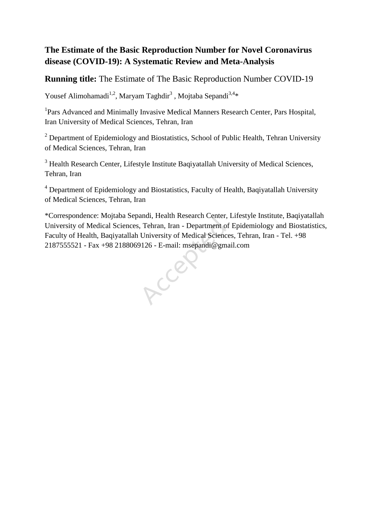# **The Estimate of the Basic Reproduction Number for Novel Coronavirus disease (COVID-19): A Systematic Review and Meta-Analysis**

**Running title:** The Estimate of The Basic Reproduction Number COVID-19

Yousef Alimohamadi<sup>1,2</sup>, Maryam Taghdir<sup>3</sup>, Mojtaba Sepandi<sup>3,4</sup>\*

<sup>1</sup>Pars Advanced and Minimally Invasive Medical Manners Research Center, Pars Hospital, Iran University of Medical Sciences, Tehran, Iran

<sup>2</sup> Department of Epidemiology and Biostatistics, School of Public Health, Tehran University of Medical Sciences, Tehran, Iran

<sup>3</sup> Health Research Center, Lifestyle Institute Baqiyatallah University of Medical Sciences, Tehran, Iran

<sup>4</sup> Department of Epidemiology and Biostatistics, Faculty of Health, Baqiyatallah University of Medical Sciences, Tehran, Iran

\*Correspondence: Mojtaba Sepandi, Health Research Center, Lifestyle Institute, Baqiyatallah University of Medical Sciences, Tehran, Iran - Department of Epidemiology and Biostatistics, Faculty of Health, Baqiyatallah University of Medical Sciences, Tehran, Iran - Tel. +98

2187555521 - Fax +98 2188069126 - E-mail: msepandi@gmail.com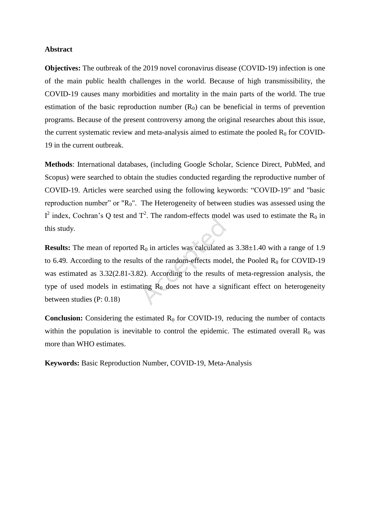#### **Abstract**

**Objectives:** The outbreak of the 2019 novel coronavirus disease (COVID-19) infection is one of the main public health challenges in the world. Because of high transmissibility, the COVID-19 causes many morbidities and mortality in the main parts of the world. The true estimation of the basic reproduction number  $(R_0)$  can be beneficial in terms of prevention programs. Because of the present controversy among the original researches about this issue, the current systematic review and meta-analysis aimed to estimate the pooled  $R_0$  for COVID-19 in the current outbreak.

**Methods**: International databases, (including Google Scholar, Science Direct, PubMed, and Scopus) were searched to obtain the studies conducted regarding the reproductive number of COVID-19. Articles were searched using the following keywords: "COVID-19" and "basic reproduction number" or " $R_0$ ". The Heterogeneity of between studies was assessed using the  $I^2$  index, Cochran's Q test and  $T^2$ . The random-effects model was used to estimate the R<sub>0</sub> in this study.

**Results:** The mean of reported  $R_0$  in articles was calculated as  $3.38\pm1.40$  with a range of 1.9 to 6.49. According to the results of the random-effects model, the Pooled  $R_0$  for COVID-19 was estimated as 3.32(2.81-3.82). According to the results of meta-regression analysis, the type of used models in estimating  $R_0$  does not have a significant effect on heterogeneity between studies  $(P: 0.18)$ 

**Conclusion:** Considering the estimated  $R_0$  for COVID-19, reducing the number of contacts within the population is inevitable to control the epidemic. The estimated overall  $R_0$  was more than WHO estimates.

**Keywords:** Basic Reproduction Number, COVID-19, Meta-Analysis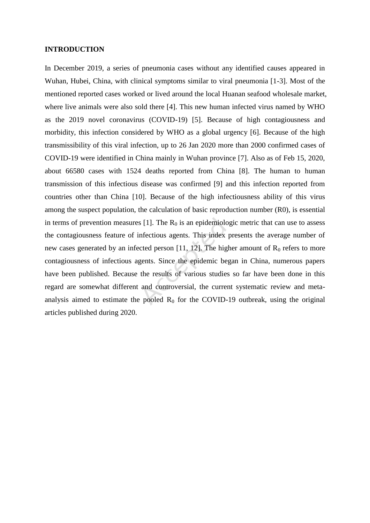#### **INTRODUCTION**

In December 2019, a series of pneumonia cases without any identified causes appeared in Wuhan, Hubei, China, with clinical symptoms similar to viral pneumonia [1-3]. Most of the mentioned reported cases worked or lived around the local Huanan seafood wholesale market, where live animals were also sold there [4]. This new human infected virus named by WHO as the 2019 novel coronavirus (COVID-19) [5]. Because of high contagiousness and morbidity, this infection considered by WHO as a global urgency [6]. Because of the high transmissibility of this viral infection, up to 26 Jan 2020 more than 2000 confirmed cases of COVID-19 were identified in China mainly in Wuhan province [7]. Also as of Feb 15, 2020, about 66580 cases with 1524 deaths reported from China [8]. The human to human transmission of this infectious disease was confirmed [9] and this infection reported from countries other than China [10]. Because of the high infectiousness ability of this virus among the suspect population, the calculation of basic reproduction number (R0), is essential in terms of prevention measures [1]. The  $R_0$  is an epidemiologic metric that can use to assess the contagiousness feature of infectious agents. This index presents the average number of new cases generated by an infected person [11, 12]. The higher amount of  $R_0$  refers to more contagiousness of infectious agents. Since the epidemic began in China, numerous papers have been published. Because the results of various studies so far have been done in this regard are somewhat different and controversial, the current systematic review and metaanalysis aimed to estimate the pooled  $R_0$  for the COVID-19 outbreak, using the original articles published during 2020.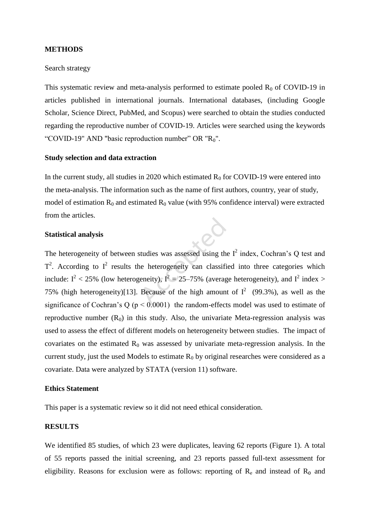#### **METHODS**

#### Search strategy

This systematic review and meta-analysis performed to estimate pooled  $R_0$  of COVID-19 in articles published in international journals. International databases, (including Google Scholar, Science Direct, PubMed, and Scopus) were searched to obtain the studies conducted regarding the reproductive number of COVID-19. Articles were searched using the keywords "COVID-19" AND "basic reproduction number" OR  $"R_0"$ .

#### **Study selection and data extraction**

In the current study, all studies in 2020 which estimated  $R_0$  for COVID-19 were entered into the meta-analysis. The information such as the name of first authors, country, year of study, model of estimation  $R_0$  and estimated  $R_0$  value (with 95% confidence interval) were extracted from the articles.

#### **Statistical analysis**

The heterogeneity of between studies was assessed using the  $I^2$  index, Cochran's Q test and  $T<sup>2</sup>$ . According to  $I<sup>2</sup>$  results the heterogeneity can classified into three categories which include:  $I^2$  < 25% (low heterogeneity),  $I^2 = 25-75$ % (average heterogeneity), and  $I^2$  index > 75% (high heterogeneity)[13]. Because of the high amount of  $I^2$  (99.3%), as well as the significance of Cochran's Q ( $p < 0.0001$ ) the random-effects model was used to estimate of reproductive number  $(R_0)$  in this study. Also, the univariate Meta-regression analysis was used to assess the effect of different models on heterogeneity between studies. The impact of covariates on the estimated  $R_0$  was assessed by univariate meta-regression analysis. In the current study, just the used Models to estimate  $R_0$  by original researches were considered as a covariate. Data were analyzed by STATA (version 11) software.

## **Ethics Statement**

This paper is a systematic review so it did not need ethical consideration.

## **RESULTS**

We identified 85 studies, of which 23 were duplicates, leaving 62 reports (Figure 1). A total of 55 reports passed the initial screening, and 23 reports passed full-text assessment for eligibility. Reasons for exclusion were as follows: reporting of  $R_e$  and instead of  $R_0$  and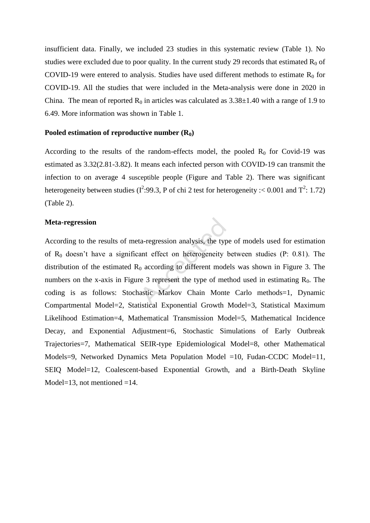insufficient data. Finally, we included 23 studies in this systematic review (Table 1). No studies were excluded due to poor quality. In the current study 29 records that estimated  $R_0$  of COVID-19 were entered to analysis. Studies have used different methods to estimate  $R_0$  for COVID-19. All the studies that were included in the Meta-analysis were done in 2020 in China. The mean of reported  $R_0$  in articles was calculated as  $3.38\pm1.40$  with a range of 1.9 to 6.49. More information was shown in Table 1.

## **Pooled estimation of reproductive number (R0)**

According to the results of the random-effects model, the pooled  $R_0$  for Covid-19 was estimated as 3.32(2.81-3.82). It means each infected person with COVID-19 can transmit the infection to on average 4 susceptible people (Figure and Table 2). There was significant heterogeneity between studies ( $I^2$ :99.3, P of chi 2 test for heterogeneity :< 0.001 and  $T^2$ : 1.72) (Table 2).

#### **Meta-regression**

According to the results of meta-regression analysis, the type of models used for estimation of  $R_0$  doesn't have a significant effect on heterogeneity between studies (P: 0.81). The distribution of the estimated  $R_0$  according to different models was shown in Figure 3. The numbers on the x-axis in Figure 3 represent the type of method used in estimating  $R_0$ . The coding is as follows: Stochastic Markov Chain Monte Carlo methods=1, Dynamic Compartmental Model=2, Statistical Exponential Growth Model=3, Statistical Maximum Likelihood Estimation=4, Mathematical Transmission Model=5, Mathematical Incidence Decay, and Exponential Adjustment=6, Stochastic Simulations of Early Outbreak Trajectories=7, Mathematical SEIR-type Epidemiological Model=8, other Mathematical Models=9, Networked Dynamics Meta Population Model =10, Fudan-CCDC Model=11, SEIQ Model=12, Coalescent-based Exponential Growth, and a Birth-Death Skyline Model=13, not mentioned =14.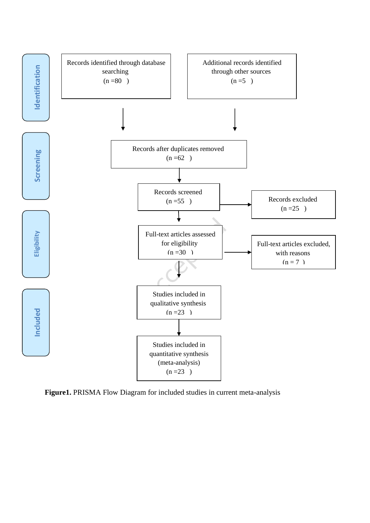

**Figure1.** PRISMA Flow Diagram for included studies in current meta-analysis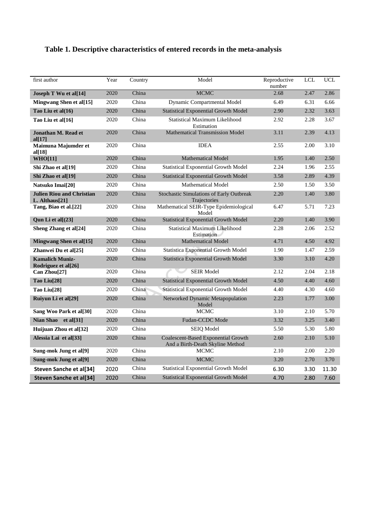| first author                                       | Year | Country | Model                                                                   | Reproductive<br>number | <b>LCL</b> | <b>UCL</b> |
|----------------------------------------------------|------|---------|-------------------------------------------------------------------------|------------------------|------------|------------|
| Joseph T Wu et al[14]                              | 2020 | China   | <b>MCMC</b>                                                             | 2.68                   | 2.47       | 2.86       |
| Mingwang Shen et al[15]                            | 2020 | China   | Dynamic Compartmental Model                                             | 6.49                   | 6.31       | 6.66       |
| Tao Liu et al(16)                                  | 2020 | China   | <b>Statistical Exponential Growth Model</b>                             | 2.90                   | 2.32       | 3.63       |
| Tao Liu et al[16]                                  | 2020 | China   | <b>Statistical Maximum Likelihood</b><br>Estimation                     | 2.92                   | 2.28       | 3.67       |
| Jonathan M. Read et<br>al $[17]$                   | 2020 | China   | <b>Mathematical Transmission Model</b>                                  | 3.11                   | 2.39       | 4.13       |
| Maimuna Majumder et<br>al $[18]$                   | 2020 | China   | <b>IDEA</b>                                                             | 2.55                   | 2.00       | 3.10       |
| <b>WHO[11]</b>                                     | 2020 | China   | <b>Mathematical Model</b>                                               | 1.95                   | 1.40       | 2.50       |
| Shi Zhao et al[19]                                 | 2020 | China   | <b>Statistical Exponential Growth Model</b>                             | 2.24                   | 1.96       | 2.55       |
| Shi Zhao et al[19]                                 | 2020 | China   | <b>Statistical Exponential Growth Model</b>                             | 3.58                   | 2.89       | 4.39       |
| Natsuko Imai[20]                                   | 2020 | China   | Mathematical Model                                                      | 2.50                   | 1.50       | 3.50       |
| <b>Julien Riou and Christian</b><br>L. Althaus[21] | 2020 | China   | <b>Stochastic Simulations of Early Outbreak</b><br>Trajectories         | 2.20                   | 1.40       | 3.80       |
| Tang, Biao et al.[22]                              | 2020 | China   | Mathematical SEIR-Type Epidemiological<br>Model                         | 6.47                   | 5.71       | 7.23       |
| Qun Li et al[(23]                                  | 2020 | China   | <b>Statistical Exponential Growth Model</b>                             | 2.20                   | 1.40       | 3.90       |
| Sheng Zhang et al[24]                              | 2020 | China   | <b>Statistical Maximum Likelihood</b><br>Estimation                     | 2.28                   | 2.06       | 2.52       |
| <b>Mingwang Shen et al[15]</b>                     | 2020 | China   | <b>Mathematical Model</b>                                               | 4.71                   | 4.50       | 4.92       |
| Zhanwei Du et al[25]                               | 2020 | China   | <b>Statistica Exponential Growth Model</b>                              | 1.90                   | 1.47       | 2.59       |
| <b>Kamalich Muniz-</b><br>Rodriguez et al[26]      | 2020 | China   | <b>Statistica Exponential Growth Model</b>                              | 3.30                   | 3.10       | 4.20       |
| Can Zhou[27]                                       | 2020 | China   | <b>SEIR Model</b>                                                       | 2.12                   | 2.04       | 2.18       |
| Tao Liu[28]                                        | 2020 | China   | <b>Statistical Exponential Growth Model</b>                             | 4.50                   | 4.40       | 4.60       |
| Tao Liu[28]                                        | 2020 | China   | <b>Statistical Exponential Growth Model</b>                             | 4.40                   | 4.30       | 4.60       |
| Ruiyun Li et al[29]                                | 2020 | China   | Networked Dynamic Metapopulation<br>Model                               | 2.23                   | 1.77       | 3.00       |
| Sang Woo Park et al[30]                            | 2020 | China   | <b>MCMC</b>                                                             | 3.10                   | 2.10       | 5.70       |
| Nian Shao et al[31]                                | 2020 | China   | Fudan-CCDC Mode                                                         | 3.32                   | 3.25       | 3.40       |
| Huijuan Zhou et al[32]                             | 2020 | China   | SEIQ Model                                                              | 5.50                   | 5.30       | 5.80       |
| Alessia Lai et al[33]                              | 2020 | China   | Coalescent-Based Exponential Growth<br>And a Birth-Death Skyline Method | 2.60                   | 2.10       | 5.10       |
| Sung-mok Jung et al[9]                             | 2020 | China   | <b>MCMC</b>                                                             | 2.10                   | 2.00       | 2.20       |
| Sung-mok Jung et al[9]                             | 2020 | China   | <b>MCMC</b>                                                             | 3.20                   | 2.70       | 3.70       |
| Steven Sanche et al[34]                            | 2020 | China   | <b>Statistical Exponential Growth Model</b>                             | 6.30                   | 3.30       | 11.30      |
| Steven Sanche et al[34]                            | 2020 | China   | <b>Statistical Exponential Growth Model</b>                             | 4.70                   | 2.80       | 7.60       |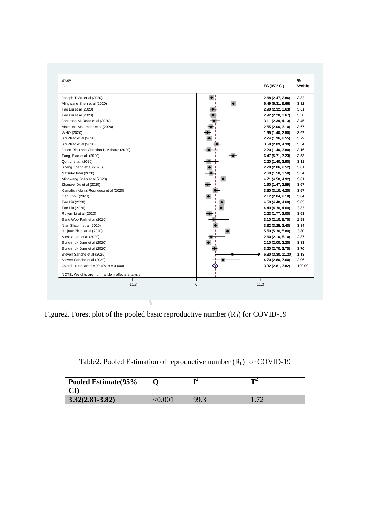

Figure2. Forest plot of the pooled basic reproductive number  $(R_0)$  for COVID-19

| Table2. Pooled Estimation of reproductive number $(R_0)$ for COVID-19 |  |  |
|-----------------------------------------------------------------------|--|--|
|-----------------------------------------------------------------------|--|--|

| Pooled Estimate (95% |     |      | mД |
|----------------------|-----|------|----|
| $3.32(2.81 - 3.82)$  | (1) | 99.1 |    |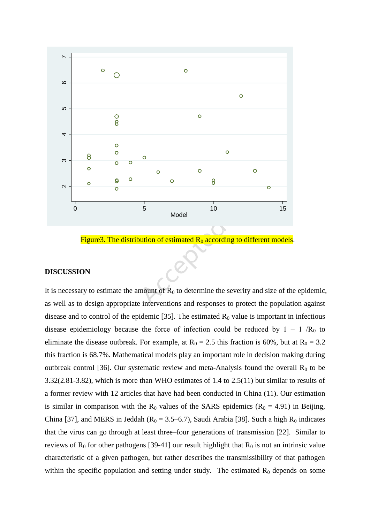

Figure3. The distribution of estimated  $R_0$  according to different models.

#### **DISCUSSION**

It is necessary to estimate the amount of  $R_0$  to determine the severity and size of the epidemic, as well as to design appropriate interventions and responses to protect the population against disease and to control of the epidemic [35]. The estimated  $R_0$  value is important in infectious disease epidemiology because the force of infection could be reduced by  $1 - 1 / R_0$  to eliminate the disease outbreak. For example, at  $R_0 = 2.5$  this fraction is 60%, but at  $R_0 = 3.2$ this fraction is 68.7%. Mathematical models play an important role in decision making during outbreak control [36]. Our systematic review and meta-Analysis found the overall  $R_0$  to be 3.32(2.81-3.82), which is more than WHO estimates of 1.4 to 2.5(11) but similar to results of a former review with 12 articles that have had been conducted in China (11). Our estimation is similar in comparison with the  $R_0$  values of the SARS epidemics ( $R_0 = 4.91$ ) in Beijing, China [37], and MERS in Jeddah ( $R_0 = 3.5-6.7$ ), Saudi Arabia [38]. Such a high  $R_0$  indicates that the virus can go through at least three–four generations of transmission [22]. Similar to reviews of  $R_0$  for other pathogens [39-41] our result highlight that  $R_0$  is not an intrinsic value characteristic of a given pathogen, but rather describes the transmissibility of that pathogen within the specific population and setting under study. The estimated  $R_0$  depends on some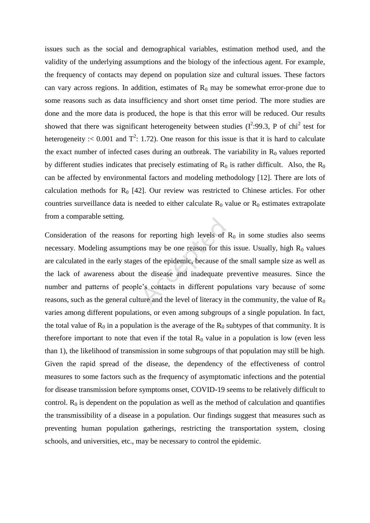issues such as the social and demographical variables, estimation method used, and the validity of the underlying assumptions and the biology of the infectious agent. For example, the frequency of contacts may depend on population size and cultural issues. These factors can vary across regions. In addition, estimates of  $R_0$  may be somewhat error-prone due to some reasons such as data insufficiency and short onset time period. The more studies are done and the more data is produced, the hope is that this error will be reduced. Our results showed that there was significant heterogeneity between studies  $(I^2:99.3, P$  of chi<sup>2</sup> test for heterogeneity : < 0.001 and  $T^2$ : 1.72). One reason for this issue is that it is hard to calculate the exact number of infected cases during an outbreak. The variability in  $R_0$  values reported by different studies indicates that precisely estimating of  $R_0$  is rather difficult. Also, the  $R_0$ can be affected by environmental factors and modeling methodology [12]. There are lots of calculation methods for  $R_0$  [42]. Our review was restricted to Chinese articles. For other countries surveillance data is needed to either calculate  $R_0$  value or  $R_0$  estimates extrapolate from a comparable setting.

Consideration of the reasons for reporting high levels of  $R_0$  in some studies also seems necessary. Modeling assumptions may be one reason for this issue. Usually, high  $R_0$  values are calculated in the early stages of the epidemic, because of the small sample size as well as the lack of awareness about the disease and inadequate preventive measures. Since the number and patterns of people's contacts in different populations vary because of some reasons, such as the general culture and the level of literacy in the community, the value of  $R_0$ varies among different populations, or even among subgroups of a single population. In fact, the total value of  $R_0$  in a population is the average of the  $R_0$  subtypes of that community. It is therefore important to note that even if the total  $R_0$  value in a population is low (even less than 1), the likelihood of transmission in some subgroups of that population may still be high. Given the rapid spread of the disease, the dependency of the effectiveness of control measures to some factors such as the frequency of asymptomatic infections and the potential for disease transmission before symptoms onset, COVID-19 seems to be relatively difficult to control.  $R_0$  is dependent on the population as well as the method of calculation and quantifies the transmissibility of a disease in a population. Our findings suggest that measures such as preventing human population gatherings, restricting the transportation system, closing schools, and universities, etc., may be necessary to control the epidemic.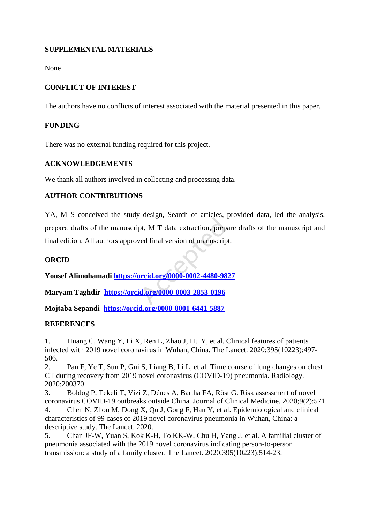# **SUPPLEMENTAL MATERIALS**

None

# **CONFLICT OF INTEREST**

The authors have no conflicts of interest associated with the material presented in this paper.

# **FUNDING**

There was no external funding required for this project.

# **ACKNOWLEDGEMENTS**

We thank all authors involved in collecting and processing data.

# **AUTHOR CONTRIBUTIONS**

YA, M S conceived the study design, Search of articles, provided data, led the analysis, prepare drafts of the manuscript, M T data extraction, prepare drafts of the manuscript and final edition. All authors approved final version of manuscript.

# **ORCID**

**Yousef Alimohamadi<https://orcid.org/0000-0002-4480-9827>**

**Maryam Taghdir <https://orcid.org/0000-0003-2853-0196>**

**Mojtaba Sepandi <https://orcid.org/0000-0001-6441-5887>**

# **REFERENCES**

1. Huang C, Wang Y, Li X, Ren L, Zhao J, Hu Y, et al. Clinical features of patients infected with 2019 novel coronavirus in Wuhan, China. The Lancet. 2020;395(10223):497- 506.

2. Pan F, Ye T, Sun P, Gui S, Liang B, Li L, et al. Time course of lung changes on chest CT during recovery from 2019 novel coronavirus (COVID-19) pneumonia. Radiology. 2020:200370.

3. Boldog P, Tekeli T, Vizi Z, Dénes A, Bartha FA, Röst G. Risk assessment of novel coronavirus COVID-19 outbreaks outside China. Journal of Clinical Medicine. 2020;9(2):571. 4. Chen N, Zhou M, Dong X, Qu J, Gong F, Han Y, et al. Epidemiological and clinical characteristics of 99 cases of 2019 novel coronavirus pneumonia in Wuhan, China: a descriptive study. The Lancet. 2020.

5. Chan JF-W, Yuan S, Kok K-H, To KK-W, Chu H, Yang J, et al. A familial cluster of pneumonia associated with the 2019 novel coronavirus indicating person-to-person transmission: a study of a family cluster. The Lancet. 2020;395(10223):514-23.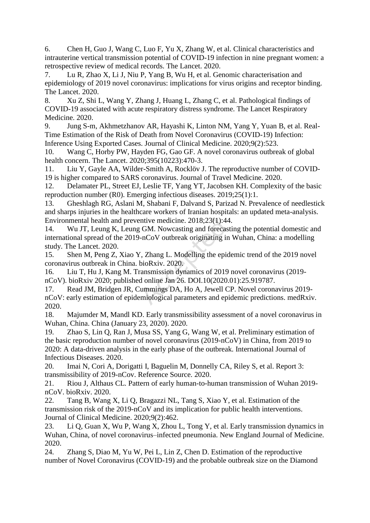6. Chen H, Guo J, Wang C, Luo F, Yu X, Zhang W, et al. Clinical characteristics and intrauterine vertical transmission potential of COVID-19 infection in nine pregnant women: a retrospective review of medical records. The Lancet. 2020.

7. Lu R, Zhao X, Li J, Niu P, Yang B, Wu H, et al. Genomic characterisation and epidemiology of 2019 novel coronavirus: implications for virus origins and receptor binding. The Lancet. 2020.

8. Xu Z, Shi L, Wang Y, Zhang J, Huang L, Zhang C, et al. Pathological findings of COVID-19 associated with acute respiratory distress syndrome. The Lancet Respiratory Medicine. 2020.

9. Jung S-m, Akhmetzhanov AR, Hayashi K, Linton NM, Yang Y, Yuan B, et al. Real-Time Estimation of the Risk of Death from Novel Coronavirus (COVID-19) Infection: Inference Using Exported Cases. Journal of Clinical Medicine. 2020;9(2):523.

10. Wang C, Horby PW, Hayden FG, Gao GF. A novel coronavirus outbreak of global health concern. The Lancet. 2020;395(10223):470-3.

11. Liu Y, Gayle AA, Wilder-Smith A, Rocklöv J. The reproductive number of COVID-19 is higher compared to SARS coronavirus. Journal of Travel Medicine. 2020.

12. Delamater PL, Street EJ, Leslie TF, Yang YT, Jacobsen KH. Complexity of the basic reproduction number (R0). Emerging infectious diseases. 2019;25(1):1.

13. Gheshlagh RG, Aslani M, Shabani F, Dalvand S, Parizad N. Prevalence of needlestick and sharps injuries in the healthcare workers of Iranian hospitals: an updated meta-analysis. Environmental health and preventive medicine. 2018;23(1):44.

14. Wu JT, Leung K, Leung GM. Nowcasting and forecasting the potential domestic and international spread of the 2019-nCoV outbreak originating in Wuhan, China: a modelling study. The Lancet. 2020.

15. Shen M, Peng Z, Xiao Y, Zhang L. Modelling the epidemic trend of the 2019 novel coronavirus outbreak in China. bioRxiv. 2020.

16. Liu T, Hu J, Kang M. Transmission dynamics of 2019 novel coronavirus (2019 nCoV). bioRxiv 2020; published online Jan 26. DOI.10(2020.01):25.919787.

17. Read JM, Bridgen JR, Cummings DA, Ho A, Jewell CP. Novel coronavirus 2019 nCoV: early estimation of epidemiological parameters and epidemic predictions. medRxiv. 2020.

18. Majumder M, Mandl KD. Early transmissibility assessment of a novel coronavirus in Wuhan, China. China (January 23, 2020). 2020.

19. Zhao S, Lin Q, Ran J, Musa SS, Yang G, Wang W, et al. Preliminary estimation of the basic reproduction number of novel coronavirus (2019-nCoV) in China, from 2019 to 2020: A data-driven analysis in the early phase of the outbreak. International Journal of Infectious Diseases. 2020.

20. Imai N, Cori A, Dorigatti I, Baguelin M, Donnelly CA, Riley S, et al. Report 3: transmissibility of 2019-nCov. Reference Source. 2020.

21. Riou J, Althaus CL. Pattern of early human-to-human transmission of Wuhan 2019 nCoV. bioRxiv. 2020.

22. Tang B, Wang X, Li Q, Bragazzi NL, Tang S, Xiao Y, et al. Estimation of the transmission risk of the 2019-nCoV and its implication for public health interventions. Journal of Clinical Medicine. 2020;9(2):462.

23. Li Q, Guan X, Wu P, Wang X, Zhou L, Tong Y, et al. Early transmission dynamics in Wuhan, China, of novel coronavirus–infected pneumonia. New England Journal of Medicine. 2020.

24. Zhang S, Diao M, Yu W, Pei L, Lin Z, Chen D. Estimation of the reproductive number of Novel Coronavirus (COVID-19) and the probable outbreak size on the Diamond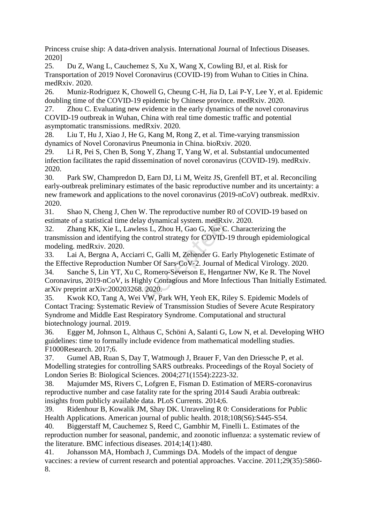Princess cruise ship: A data-driven analysis. International Journal of Infectious Diseases. 2020]

25. Du Z, Wang L, Cauchemez S, Xu X, Wang X, Cowling BJ, et al. Risk for Transportation of 2019 Novel Coronavirus (COVID-19) from Wuhan to Cities in China. medRxiv. 2020.

26. Muniz-Rodriguez K, Chowell G, Cheung C-H, Jia D, Lai P-Y, Lee Y, et al. Epidemic doubling time of the COVID-19 epidemic by Chinese province. medRxiv. 2020.

27. Zhou C. Evaluating new evidence in the early dynamics of the novel coronavirus COVID-19 outbreak in Wuhan, China with real time domestic traffic and potential asymptomatic transmissions. medRxiv. 2020.

28. Liu T, Hu J, Xiao J, He G, Kang M, Rong Z, et al. Time-varying transmission dynamics of Novel Coronavirus Pneumonia in China. bioRxiv. 2020.

29. Li R, Pei S, Chen B, Song Y, Zhang T, Yang W, et al. Substantial undocumented infection facilitates the rapid dissemination of novel coronavirus (COVID-19). medRxiv. 2020.

30. Park SW, Champredon D, Earn DJ, Li M, Weitz JS, Grenfell BT, et al. Reconciling early-outbreak preliminary estimates of the basic reproductive number and its uncertainty: a new framework and applications to the novel coronavirus (2019-nCoV) outbreak. medRxiv. 2020.

31. Shao N, Cheng J, Chen W. The reproductive number R0 of COVID-19 based on estimate of a statistical time delay dynamical system. medRxiv. 2020.

32. Zhang KK, Xie L, Lawless L, Zhou H, Gao G, Xue C. Characterizing the transmission and identifying the control strategy for COVID-19 through epidemiological modeling. medRxiv. 2020.

33. Lai A, Bergna A, Acciarri C, Galli M, Zehender G. Early Phylogenetic Estimate of the Effective Reproduction Number Of Sars‐CoV‐2. Journal of Medical Virology. 2020.

34. Sanche S, Lin YT, Xu C, Romero-Severson E, Hengartner NW, Ke R. The Novel Coronavirus, 2019-nCoV, is Highly Contagious and More Infectious Than Initially Estimated. arXiv preprint arXiv:200203268. 2020.

35. Kwok KO, Tang A, Wei VW, Park WH, Yeoh EK, Riley S. Epidemic Models of Contact Tracing: Systematic Review of Transmission Studies of Severe Acute Respiratory Syndrome and Middle East Respiratory Syndrome. Computational and structural biotechnology journal. 2019.

36. Egger M, Johnson L, Althaus C, Schöni A, Salanti G, Low N, et al. Developing WHO guidelines: time to formally include evidence from mathematical modelling studies. F1000Research. 2017;6.

37. Gumel AB, Ruan S, Day T, Watmough J, Brauer F, Van den Driessche P, et al. Modelling strategies for controlling SARS outbreaks. Proceedings of the Royal Society of London Series B: Biological Sciences. 2004;271(1554):2223-32.

38. Majumder MS, Rivers C, Lofgren E, Fisman D. Estimation of MERS-coronavirus reproductive number and case fatality rate for the spring 2014 Saudi Arabia outbreak: insights from publicly available data. PLoS Currents. 2014;6.

39. Ridenhour B, Kowalik JM, Shay DK. Unraveling R 0: Considerations for Public Health Applications. American journal of public health. 2018;108(S6):S445-S54.

40. Biggerstaff M, Cauchemez S, Reed C, Gambhir M, Finelli L. Estimates of the reproduction number for seasonal, pandemic, and zoonotic influenza: a systematic review of the literature. BMC infectious diseases. 2014;14(1):480.

41. Johansson MA, Hombach J, Cummings DA. Models of the impact of dengue vaccines: a review of current research and potential approaches. Vaccine. 2011;29(35):5860- 8.